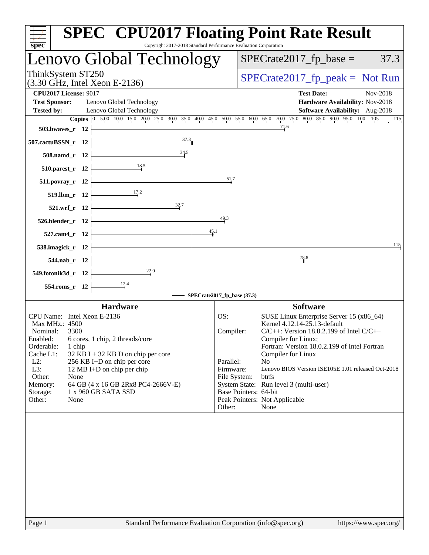| spec <sup>®</sup>                                                                                                                                                                                                                                                                                                                                                                                   | <b>SPEC<sup>®</sup> CPU2017 Floating Point Rate Result</b><br>Copyright 2017-2018 Standard Performance Evaluation Corporation                                                                                                                                                                                                                                                                                                                                                               |
|-----------------------------------------------------------------------------------------------------------------------------------------------------------------------------------------------------------------------------------------------------------------------------------------------------------------------------------------------------------------------------------------------------|---------------------------------------------------------------------------------------------------------------------------------------------------------------------------------------------------------------------------------------------------------------------------------------------------------------------------------------------------------------------------------------------------------------------------------------------------------------------------------------------|
| Lenovo Global Technology                                                                                                                                                                                                                                                                                                                                                                            | $SPECrate2017fp base =$<br>37.3                                                                                                                                                                                                                                                                                                                                                                                                                                                             |
| ThinkSystem ST250<br>$(3.30 \text{ GHz}, \text{Intel Xeon E-2136})$                                                                                                                                                                                                                                                                                                                                 | $SPECrate2017fr peak = Not Run$                                                                                                                                                                                                                                                                                                                                                                                                                                                             |
| <b>CPU2017 License: 9017</b><br><b>Test Sponsor:</b><br>Lenovo Global Technology<br>Lenovo Global Technology<br><b>Tested by:</b>                                                                                                                                                                                                                                                                   | <b>Test Date:</b><br>Nov-2018<br><b>Hardware Availability: Nov-2018</b><br>Software Availability: Aug-2018                                                                                                                                                                                                                                                                                                                                                                                  |
| 503.bwaves_r $12$<br>37.3<br>507.cactuBSSN_r 12                                                                                                                                                                                                                                                                                                                                                     | Copies 0 5.00 10.0 15.0 20.0 25.0 30.0 35.0 40.0 45.0 50.0 55.0 60.0 65.0 70.0 75.0 80.0 85.0 90.0 95.0 100 105<br>115<br>71.6                                                                                                                                                                                                                                                                                                                                                              |
| 34.5<br>$508$ .namd_r 12<br>$510.parest_r 12$                                                                                                                                                                                                                                                                                                                                                       |                                                                                                                                                                                                                                                                                                                                                                                                                                                                                             |
| $511. povray_r 12$<br>$\frac{17.2}{ }$<br>$519.$ lbm_r 12                                                                                                                                                                                                                                                                                                                                           | 51.7                                                                                                                                                                                                                                                                                                                                                                                                                                                                                        |
| $521.wrf_r r 12$<br>$526.blender_r 12$                                                                                                                                                                                                                                                                                                                                                              | 49.3                                                                                                                                                                                                                                                                                                                                                                                                                                                                                        |
| $527$ .cam4_r 12 $\vdash$<br>538.imagick_r $12$                                                                                                                                                                                                                                                                                                                                                     | 45.1<br>$\frac{115}{1}$                                                                                                                                                                                                                                                                                                                                                                                                                                                                     |
| $544$ .nab_r 12                                                                                                                                                                                                                                                                                                                                                                                     | 78.8                                                                                                                                                                                                                                                                                                                                                                                                                                                                                        |
| $\frac{22.0}{4}$<br>549.fotonik3d_r $12$                                                                                                                                                                                                                                                                                                                                                            |                                                                                                                                                                                                                                                                                                                                                                                                                                                                                             |
| $554$ .roms_r 12                                                                                                                                                                                                                                                                                                                                                                                    | $SPECrate2017_fp\_base(37.3)$                                                                                                                                                                                                                                                                                                                                                                                                                                                               |
| <b>Hardware</b>                                                                                                                                                                                                                                                                                                                                                                                     | <b>Software</b>                                                                                                                                                                                                                                                                                                                                                                                                                                                                             |
| CPU Name: Intel Xeon E-2136<br>Max MHz.: 4500<br>Nominal:<br>3300<br>Enabled:<br>6 cores, 1 chip, 2 threads/core<br>Orderable:<br>1 chip<br>Cache L1:<br>$32$ KB I + 32 KB D on chip per core<br>$L2$ :<br>256 KB I+D on chip per core<br>L3:<br>12 MB I+D on chip per chip<br>Other:<br>None<br>Memory:<br>64 GB (4 x 16 GB 2Rx8 PC4-2666V-E)<br>1 x 960 GB SATA SSD<br>Storage:<br>Other:<br>None | SUSE Linux Enterprise Server 15 (x86_64)<br>OS:<br>Kernel 4.12.14-25.13-default<br>Compiler:<br>$C/C++$ : Version 18.0.2.199 of Intel $C/C++$<br>Compiler for Linux;<br>Fortran: Version 18.0.2.199 of Intel Fortran<br>Compiler for Linux<br>Parallel:<br>N <sub>o</sub><br>Firmware:<br>Lenovo BIOS Version ISE105E 1.01 released Oct-2018<br>btrfs<br>File System:<br>System State: Run level 3 (multi-user)<br>Base Pointers: 64-bit<br>Peak Pointers: Not Applicable<br>Other:<br>None |
|                                                                                                                                                                                                                                                                                                                                                                                                     |                                                                                                                                                                                                                                                                                                                                                                                                                                                                                             |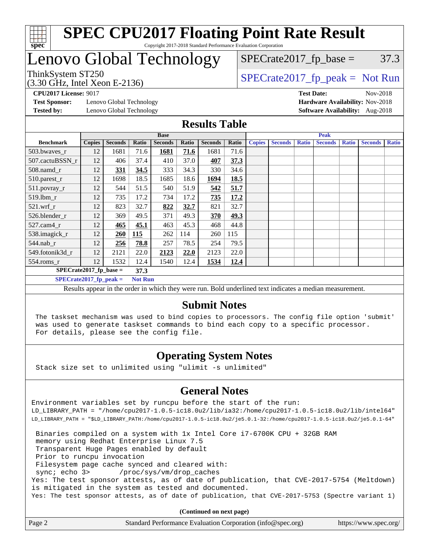

# Lenovo Global Technology

(3.30 GHz, Intel Xeon E-2136)

ThinkSystem ST250  $SPECrate2017$  fp\_peak = Not Run

 $SPECTate2017<sub>fp</sub> base =  $37.3$$ 

**[Test Sponsor:](http://www.spec.org/auto/cpu2017/Docs/result-fields.html#TestSponsor)** Lenovo Global Technology **[Hardware Availability:](http://www.spec.org/auto/cpu2017/Docs/result-fields.html#HardwareAvailability)** Nov-2018 **[Tested by:](http://www.spec.org/auto/cpu2017/Docs/result-fields.html#Testedby)** Lenovo Global Technology **[Software Availability:](http://www.spec.org/auto/cpu2017/Docs/result-fields.html#SoftwareAvailability)** Aug-2018

**[CPU2017 License:](http://www.spec.org/auto/cpu2017/Docs/result-fields.html#CPU2017License)** 9017 **[Test Date:](http://www.spec.org/auto/cpu2017/Docs/result-fields.html#TestDate)** Nov-2018

### **[Results Table](http://www.spec.org/auto/cpu2017/Docs/result-fields.html#ResultsTable)**

|                          | <b>Base</b>    |                |            |                |       | <b>Peak</b>    |       |               |                |              |                |              |                |              |
|--------------------------|----------------|----------------|------------|----------------|-------|----------------|-------|---------------|----------------|--------------|----------------|--------------|----------------|--------------|
| <b>Benchmark</b>         | <b>Copies</b>  | <b>Seconds</b> | Ratio      | <b>Seconds</b> | Ratio | <b>Seconds</b> | Ratio | <b>Copies</b> | <b>Seconds</b> | <b>Ratio</b> | <b>Seconds</b> | <b>Ratio</b> | <b>Seconds</b> | <b>Ratio</b> |
| 503.bwayes_r             | 12             | 1681           | 71.6       | 1681           | 71.6  | 1681           | 71.6  |               |                |              |                |              |                |              |
| 507.cactuBSSN r          | 12             | 406            | 37.4       | 410            | 37.0  | 407            | 37.3  |               |                |              |                |              |                |              |
| 508.namd_r               | 12             | 331            | 34.5       | 333            | 34.3  | 330            | 34.6  |               |                |              |                |              |                |              |
| 510.parest_r             | 12             | 1698           | 18.5       | 1685           | 18.6  | 1694           | 18.5  |               |                |              |                |              |                |              |
| 511.povray_r             | 12             | 544            | 51.5       | 540            | 51.9  | 542            | 51.7  |               |                |              |                |              |                |              |
| 519.lbm r                | 12             | 735            | 17.2       | 734            | 17.2  | 735            | 17.2  |               |                |              |                |              |                |              |
| $521$ .wrf r             | 12             | 823            | 32.7       | 822            | 32.7  | 821            | 32.7  |               |                |              |                |              |                |              |
| 526.blender_r            | 12             | 369            | 49.5       | 371            | 49.3  | 370            | 49.3  |               |                |              |                |              |                |              |
| $527.cam4_r$             | 12             | 465            | 45.1       | 463            | 45.3  | 468            | 44.8  |               |                |              |                |              |                |              |
| 538.imagick_r            | 12             | 260            | <b>115</b> | 262            | 114   | 260            | 115   |               |                |              |                |              |                |              |
| $544$ .nab_r             | 12             | 256            | 78.8       | 257            | 78.5  | 254            | 79.5  |               |                |              |                |              |                |              |
| 549.fotonik3d r          | 12             | 2121           | 22.0       | 2123           | 22.0  | 2123           | 22.0  |               |                |              |                |              |                |              |
| $554$ .roms $r$          | 12             | 1532           | 12.4       | 1540           | 12.4  | 1534           | 12.4  |               |                |              |                |              |                |              |
| $SPECrate2017$ fp base = |                |                | 37.3       |                |       |                |       |               |                |              |                |              |                |              |
| $SPECrate2017_fp_peak =$ | <b>Not Run</b> |                |            |                |       |                |       |               |                |              |                |              |                |              |

Results appear in the [order in which they were run.](http://www.spec.org/auto/cpu2017/Docs/result-fields.html#RunOrder) Bold underlined text [indicates a median measurement.](http://www.spec.org/auto/cpu2017/Docs/result-fields.html#Median)

### **[Submit Notes](http://www.spec.org/auto/cpu2017/Docs/result-fields.html#SubmitNotes)**

 The taskset mechanism was used to bind copies to processors. The config file option 'submit' was used to generate taskset commands to bind each copy to a specific processor. For details, please see the config file.

### **[Operating System Notes](http://www.spec.org/auto/cpu2017/Docs/result-fields.html#OperatingSystemNotes)**

Stack size set to unlimited using "ulimit -s unlimited"

### **[General Notes](http://www.spec.org/auto/cpu2017/Docs/result-fields.html#GeneralNotes)**

Environment variables set by runcpu before the start of the run: LD\_LIBRARY\_PATH = "/home/cpu2017-1.0.5-ic18.0u2/lib/ia32:/home/cpu2017-1.0.5-ic18.0u2/lib/intel64" LD\_LIBRARY\_PATH = "\$LD\_LIBRARY\_PATH:/home/cpu2017-1.0.5-ic18.0u2/je5.0.1-32:/home/cpu2017-1.0.5-ic18.0u2/je5.0.1-64"

 Binaries compiled on a system with 1x Intel Core i7-6700K CPU + 32GB RAM memory using Redhat Enterprise Linux 7.5 Transparent Huge Pages enabled by default Prior to runcpu invocation Filesystem page cache synced and cleared with: sync; echo 3> /proc/sys/vm/drop\_caches Yes: The test sponsor attests, as of date of publication, that CVE-2017-5754 (Meltdown) is mitigated in the system as tested and documented. Yes: The test sponsor attests, as of date of publication, that CVE-2017-5753 (Spectre variant 1)

**(Continued on next page)**

| Page 2 | Standard Performance Evaluation Corporation (info@spec.org) | https://www.spec.org/ |
|--------|-------------------------------------------------------------|-----------------------|
|--------|-------------------------------------------------------------|-----------------------|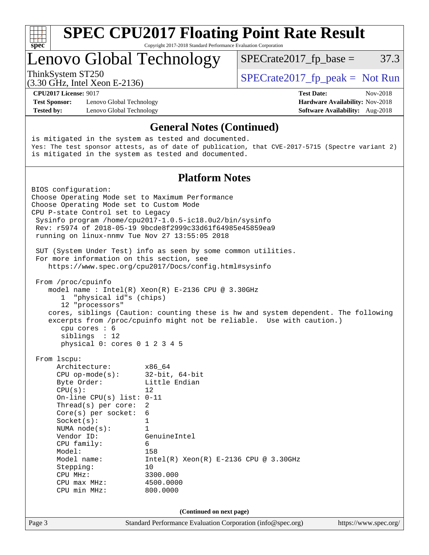

# Lenovo Global Technology

ThinkSystem ST250  $SPECrate2017$  fp\_peak = Not Run

(3.30 GHz, Intel Xeon E-2136)

 $SPECTate2017<sub>fp</sub> base =  $37.3$$ 

**[Test Sponsor:](http://www.spec.org/auto/cpu2017/Docs/result-fields.html#TestSponsor)** Lenovo Global Technology **[Hardware Availability:](http://www.spec.org/auto/cpu2017/Docs/result-fields.html#HardwareAvailability)** Nov-2018 **[Tested by:](http://www.spec.org/auto/cpu2017/Docs/result-fields.html#Testedby)** Lenovo Global Technology **[Software Availability:](http://www.spec.org/auto/cpu2017/Docs/result-fields.html#SoftwareAvailability)** Aug-2018

**[CPU2017 License:](http://www.spec.org/auto/cpu2017/Docs/result-fields.html#CPU2017License)** 9017 **[Test Date:](http://www.spec.org/auto/cpu2017/Docs/result-fields.html#TestDate)** Nov-2018

### **[General Notes \(Continued\)](http://www.spec.org/auto/cpu2017/Docs/result-fields.html#GeneralNotes)**

is mitigated in the system as tested and documented. Yes: The test sponsor attests, as of date of publication, that CVE-2017-5715 (Spectre variant 2) is mitigated in the system as tested and documented.

### **[Platform Notes](http://www.spec.org/auto/cpu2017/Docs/result-fields.html#PlatformNotes)**

Page 3 Standard Performance Evaluation Corporation [\(info@spec.org\)](mailto:info@spec.org) <https://www.spec.org/> BIOS configuration: Choose Operating Mode set to Maximum Performance Choose Operating Mode set to Custom Mode CPU P-state Control set to Legacy Sysinfo program /home/cpu2017-1.0.5-ic18.0u2/bin/sysinfo Rev: r5974 of 2018-05-19 9bcde8f2999c33d61f64985e45859ea9 running on linux-nnmv Tue Nov 27 13:55:05 2018 SUT (System Under Test) info as seen by some common utilities. For more information on this section, see <https://www.spec.org/cpu2017/Docs/config.html#sysinfo> From /proc/cpuinfo model name : Intel(R) Xeon(R) E-2136 CPU @ 3.30GHz 1 "physical id"s (chips) 12 "processors" cores, siblings (Caution: counting these is hw and system dependent. The following excerpts from /proc/cpuinfo might not be reliable. Use with caution.) cpu cores : 6 siblings : 12 physical 0: cores 0 1 2 3 4 5 From lscpu: Architecture: x86\_64 CPU op-mode(s): 32-bit, 64-bit Byte Order: Little Endian  $CPU(s):$  12 On-line CPU(s) list: 0-11 Thread(s) per core: 2 Core(s) per socket: 6 Socket(s): 1 NUMA node(s): 1 Vendor ID: GenuineIntel CPU family: 6 Model: 158<br>Model name: 1158  $Intel(R)$  Xeon(R) E-2136 CPU @ 3.30GHz Stepping: 10 CPU MHz: 3300.000 CPU max MHz: 4500.0000 CPU min MHz: 800.0000 **(Continued on next page)**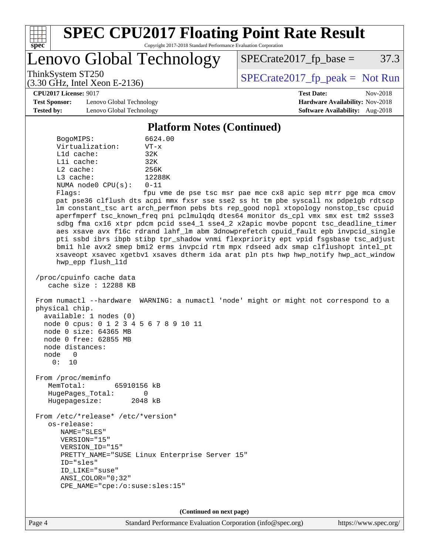

Lenovo Global Technology

 $SPECTate2017<sub>fp</sub> base =  $37.3$$ 

(3.30 GHz, Intel Xeon E-2136)

ThinkSystem ST250  $SPECrate2017$  fp\_peak = Not Run

**[CPU2017 License:](http://www.spec.org/auto/cpu2017/Docs/result-fields.html#CPU2017License)** 9017 **[Test Date:](http://www.spec.org/auto/cpu2017/Docs/result-fields.html#TestDate)** Nov-2018

**[Test Sponsor:](http://www.spec.org/auto/cpu2017/Docs/result-fields.html#TestSponsor)** Lenovo Global Technology **[Hardware Availability:](http://www.spec.org/auto/cpu2017/Docs/result-fields.html#HardwareAvailability)** Nov-2018 **[Tested by:](http://www.spec.org/auto/cpu2017/Docs/result-fields.html#Testedby)** Lenovo Global Technology **[Software Availability:](http://www.spec.org/auto/cpu2017/Docs/result-fields.html#SoftwareAvailability)** Aug-2018

**[Platform Notes \(Continued\)](http://www.spec.org/auto/cpu2017/Docs/result-fields.html#PlatformNotes)**

 BogoMIPS: 6624.00 Virtualization: VT-x L1d cache: 32K L1i cache: 32K L2 cache: 256K L3 cache: 12288K NUMA node0 CPU(s): 0-11

Flags: fpu vme de pse tsc msr pae mce cx8 apic sep mtrr pge mca cmov pat pse36 clflush dts acpi mmx fxsr sse sse2 ss ht tm pbe syscall nx pdpe1gb rdtscp lm constant\_tsc art arch\_perfmon pebs bts rep\_good nopl xtopology nonstop\_tsc cpuid aperfmperf tsc\_known\_freq pni pclmulqdq dtes64 monitor ds\_cpl vmx smx est tm2 ssse3 sdbg fma cx16 xtpr pdcm pcid sse4\_1 sse4\_2 x2apic movbe popcnt tsc\_deadline\_timer aes xsave avx f16c rdrand lahf\_lm abm 3dnowprefetch cpuid\_fault epb invpcid\_single pti ssbd ibrs ibpb stibp tpr\_shadow vnmi flexpriority ept vpid fsgsbase tsc\_adjust bmi1 hle avx2 smep bmi2 erms invpcid rtm mpx rdseed adx smap clflushopt intel\_pt xsaveopt xsavec xgetbv1 xsaves dtherm ida arat pln pts hwp hwp\_notify hwp\_act\_window hwp\_epp flush\_l1d

 /proc/cpuinfo cache data cache size : 12288 KB

 From numactl --hardware WARNING: a numactl 'node' might or might not correspond to a physical chip. available: 1 nodes (0) node 0 cpus: 0 1 2 3 4 5 6 7 8 9 10 11 node 0 size: 64365 MB

 node 0 free: 62855 MB node distances: node 0

0: 10

 From /proc/meminfo MemTotal: 65910156 kB HugePages\_Total: 0 Hugepagesize: 2048 kB

 From /etc/\*release\* /etc/\*version\* os-release: NAME="SLES" VERSION="15" VERSION\_ID="15" PRETTY\_NAME="SUSE Linux Enterprise Server 15" ID="sles" ID\_LIKE="suse" ANSI\_COLOR="0;32" CPE\_NAME="cpe:/o:suse:sles:15"

**(Continued on next page)**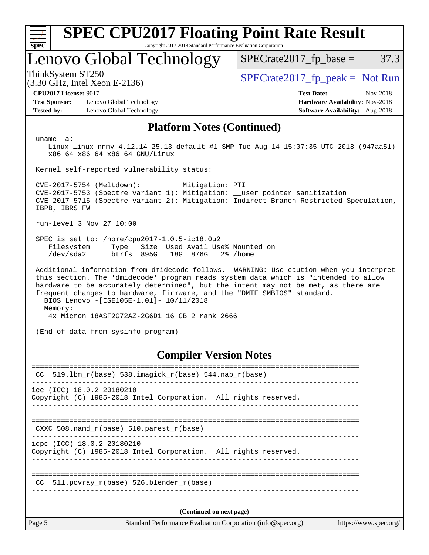| <b>SPEC CPU2017 Floating Point Rate Result</b>                                                                                                                                                                                                                                                                                                                                                                                                          |                                        |  |  |  |  |  |  |
|---------------------------------------------------------------------------------------------------------------------------------------------------------------------------------------------------------------------------------------------------------------------------------------------------------------------------------------------------------------------------------------------------------------------------------------------------------|----------------------------------------|--|--|--|--|--|--|
| Copyright 2017-2018 Standard Performance Evaluation Corporation<br>$SDec^*$<br>$SPECrate2017_fp\_base =$<br>37.3                                                                                                                                                                                                                                                                                                                                        |                                        |  |  |  |  |  |  |
| Lenovo Global Technology                                                                                                                                                                                                                                                                                                                                                                                                                                |                                        |  |  |  |  |  |  |
| ThinkSystem ST250<br>$(3.30$ GHz, Intel Xeon E-2136)                                                                                                                                                                                                                                                                                                                                                                                                    | $SPECrate2017fr peak = Not Run$        |  |  |  |  |  |  |
| <b>CPU2017 License: 9017</b>                                                                                                                                                                                                                                                                                                                                                                                                                            | <b>Test Date:</b><br>Nov-2018          |  |  |  |  |  |  |
| <b>Test Sponsor:</b><br>Lenovo Global Technology                                                                                                                                                                                                                                                                                                                                                                                                        | Hardware Availability: Nov-2018        |  |  |  |  |  |  |
| Lenovo Global Technology<br><b>Tested by:</b>                                                                                                                                                                                                                                                                                                                                                                                                           | <b>Software Availability:</b> Aug-2018 |  |  |  |  |  |  |
| <b>Platform Notes (Continued)</b>                                                                                                                                                                                                                                                                                                                                                                                                                       |                                        |  |  |  |  |  |  |
| uname $-a$ :<br>Linux linux-nnmv 4.12.14-25.13-default #1 SMP Tue Aug 14 15:07:35 UTC 2018 (947aa51)<br>x86_64 x86_64 x86_64 GNU/Linux<br>Kernel self-reported vulnerability status:                                                                                                                                                                                                                                                                    |                                        |  |  |  |  |  |  |
| $CVE-2017-5754$ (Meltdown):<br>Mitigation: PTI<br>CVE-2017-5753 (Spectre variant 1): Mitigation: __user pointer sanitization<br>CVE-2017-5715 (Spectre variant 2): Mitigation: Indirect Branch Restricted Speculation,<br>IBPB, IBRS_FW                                                                                                                                                                                                                 |                                        |  |  |  |  |  |  |
| run-level 3 Nov 27 10:00                                                                                                                                                                                                                                                                                                                                                                                                                                |                                        |  |  |  |  |  |  |
| SPEC is set to: /home/cpu2017-1.0.5-ic18.0u2<br>Filesystem<br>Size Used Avail Use% Mounted on<br>Type<br>/dev/sda2<br>btrfs 895G<br>18G 876G<br>2% /home                                                                                                                                                                                                                                                                                                |                                        |  |  |  |  |  |  |
| Additional information from dmidecode follows. WARNING: Use caution when you interpret<br>this section. The 'dmidecode' program reads system data which is "intended to allow<br>hardware to be accurately determined", but the intent may not be met, as there are<br>frequent changes to hardware, firmware, and the "DMTF SMBIOS" standard.<br>BIOS Lenovo - [ISE105E-1.01] - 10/11/2018<br>Memory:<br>4x Micron 18ASF2G72AZ-2G6D1 16 GB 2 rank 2666 |                                        |  |  |  |  |  |  |
| (End of data from sysinfo program)                                                                                                                                                                                                                                                                                                                                                                                                                      |                                        |  |  |  |  |  |  |

# **[Compiler Version Notes](http://www.spec.org/auto/cpu2017/Docs/result-fields.html#CompilerVersionNotes)**

| CC.    | $519.1$ bm_r(base) $538.imagick_r(base)$ $544.nab_r(base)$                                    |  |
|--------|-----------------------------------------------------------------------------------------------|--|
|        | icc (ICC) 18.0.2 20180210<br>Copyright (C) 1985-2018 Intel Corporation. All rights reserved.  |  |
|        | CXXC 508. namd $r(base)$ 510. parest $r(base)$                                                |  |
|        | icpc (ICC) 18.0.2 20180210<br>Copyright (C) 1985-2018 Intel Corporation. All rights reserved. |  |
| CC.    | 511.povray r(base) 526.blender r(base)                                                        |  |
|        | (Continued on next page)                                                                      |  |
| Page 5 | Standard Performance Evaluation Corporation (info@spec.org)<br>https://www.spec.org/          |  |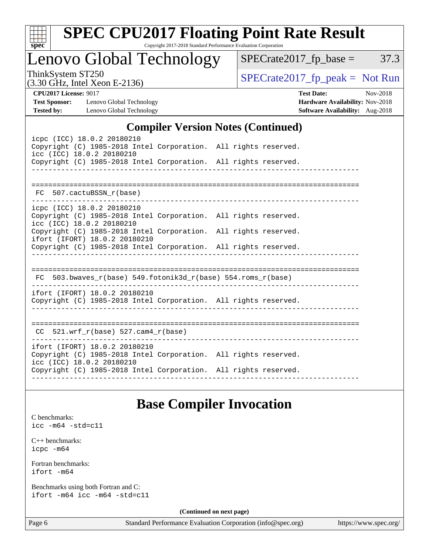

# **[SPEC CPU2017 Floating Point Rate Result](http://www.spec.org/auto/cpu2017/Docs/result-fields.html#SPECCPU2017FloatingPointRateResult)**

Copyright 2017-2018 Standard Performance Evaluation Corporation

# Lenovo Global Technology

 $SPECTate2017_fp\_base = 37.3$ 

(3.30 GHz, Intel Xeon E-2136)

 $SPECrate2017_fp\_peak = Not Run$ 

**[Test Sponsor:](http://www.spec.org/auto/cpu2017/Docs/result-fields.html#TestSponsor)** Lenovo Global Technology **[Hardware Availability:](http://www.spec.org/auto/cpu2017/Docs/result-fields.html#HardwareAvailability)** Nov-2018 **[Tested by:](http://www.spec.org/auto/cpu2017/Docs/result-fields.html#Testedby)** Lenovo Global Technology **[Software Availability:](http://www.spec.org/auto/cpu2017/Docs/result-fields.html#SoftwareAvailability)** Aug-2018

**[CPU2017 License:](http://www.spec.org/auto/cpu2017/Docs/result-fields.html#CPU2017License)** 9017 **[Test Date:](http://www.spec.org/auto/cpu2017/Docs/result-fields.html#TestDate)** Nov-2018

### **[Compiler Version Notes \(Continued\)](http://www.spec.org/auto/cpu2017/Docs/result-fields.html#CompilerVersionNotes)**

| icpc (ICC) 18.0.2 20180210<br>Copyright (C) 1985-2018 Intel Corporation. All rights reserved.<br>icc (ICC) 18.0.2 20180210<br>Copyright (C) 1985-2018 Intel Corporation. All rights reserved.    |  |  |  |  |  |  |  |
|--------------------------------------------------------------------------------------------------------------------------------------------------------------------------------------------------|--|--|--|--|--|--|--|
| ------------------------------------<br>FC 507.cactuBSSN r(base)                                                                                                                                 |  |  |  |  |  |  |  |
| icpc (ICC) 18.0.2 20180210<br>Copyright (C) 1985-2018 Intel Corporation. All rights reserved.<br>icc (ICC) 18.0.2 20180210                                                                       |  |  |  |  |  |  |  |
| Copyright (C) 1985-2018 Intel Corporation. All rights reserved.<br>ifort (IFORT) 18.0.2 20180210<br>Copyright (C) 1985-2018 Intel Corporation. All rights reserved.                              |  |  |  |  |  |  |  |
| FC $503.bwaves_r(base) 549.fotonik3d_r(base) 554.roms_r(base)$                                                                                                                                   |  |  |  |  |  |  |  |
| ifort (IFORT) 18.0.2 20180210<br>Copyright (C) 1985-2018 Intel Corporation. All rights reserved.                                                                                                 |  |  |  |  |  |  |  |
| CC $521.$ wrf r(base) 527.cam4 r(base)                                                                                                                                                           |  |  |  |  |  |  |  |
| ifort (IFORT) 18.0.2 20180210<br>Copyright (C) 1985-2018 Intel Corporation. All rights reserved.<br>icc (ICC) 18.0.2 20180210<br>Copyright (C) 1985-2018 Intel Corporation. All rights reserved. |  |  |  |  |  |  |  |
|                                                                                                                                                                                                  |  |  |  |  |  |  |  |

## **[Base Compiler Invocation](http://www.spec.org/auto/cpu2017/Docs/result-fields.html#BaseCompilerInvocation)**

[C benchmarks](http://www.spec.org/auto/cpu2017/Docs/result-fields.html#Cbenchmarks): [icc -m64 -std=c11](http://www.spec.org/cpu2017/results/res2018q4/cpu2017-20181210-10144.flags.html#user_CCbase_intel_icc_64bit_c11_33ee0cdaae7deeeab2a9725423ba97205ce30f63b9926c2519791662299b76a0318f32ddfffdc46587804de3178b4f9328c46fa7c2b0cd779d7a61945c91cd35)

[C++ benchmarks:](http://www.spec.org/auto/cpu2017/Docs/result-fields.html#CXXbenchmarks) [icpc -m64](http://www.spec.org/cpu2017/results/res2018q4/cpu2017-20181210-10144.flags.html#user_CXXbase_intel_icpc_64bit_4ecb2543ae3f1412ef961e0650ca070fec7b7afdcd6ed48761b84423119d1bf6bdf5cad15b44d48e7256388bc77273b966e5eb805aefd121eb22e9299b2ec9d9)

[Fortran benchmarks](http://www.spec.org/auto/cpu2017/Docs/result-fields.html#Fortranbenchmarks): [ifort -m64](http://www.spec.org/cpu2017/results/res2018q4/cpu2017-20181210-10144.flags.html#user_FCbase_intel_ifort_64bit_24f2bb282fbaeffd6157abe4f878425411749daecae9a33200eee2bee2fe76f3b89351d69a8130dd5949958ce389cf37ff59a95e7a40d588e8d3a57e0c3fd751)

[Benchmarks using both Fortran and C](http://www.spec.org/auto/cpu2017/Docs/result-fields.html#BenchmarksusingbothFortranandC): [ifort -m64](http://www.spec.org/cpu2017/results/res2018q4/cpu2017-20181210-10144.flags.html#user_CC_FCbase_intel_ifort_64bit_24f2bb282fbaeffd6157abe4f878425411749daecae9a33200eee2bee2fe76f3b89351d69a8130dd5949958ce389cf37ff59a95e7a40d588e8d3a57e0c3fd751) [icc -m64 -std=c11](http://www.spec.org/cpu2017/results/res2018q4/cpu2017-20181210-10144.flags.html#user_CC_FCbase_intel_icc_64bit_c11_33ee0cdaae7deeeab2a9725423ba97205ce30f63b9926c2519791662299b76a0318f32ddfffdc46587804de3178b4f9328c46fa7c2b0cd779d7a61945c91cd35)

**(Continued on next page)**

Page 6 Standard Performance Evaluation Corporation [\(info@spec.org\)](mailto:info@spec.org) <https://www.spec.org/>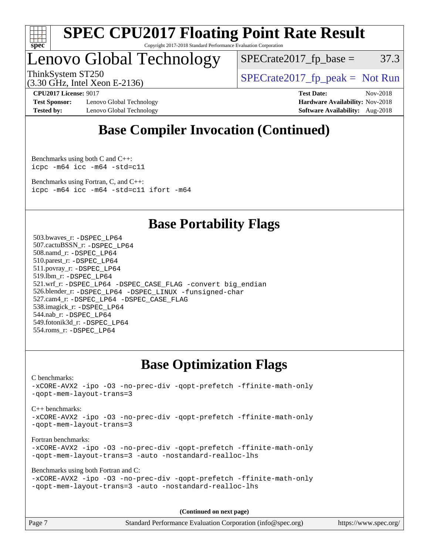

# Lenovo Global Technology

 $SPECTate2017<sub>fp</sub> base =  $37.3$$ 

(3.30 GHz, Intel Xeon E-2136)

ThinkSystem ST250  $SPECrate2017$  fp\_peak = Not Run

**[Test Sponsor:](http://www.spec.org/auto/cpu2017/Docs/result-fields.html#TestSponsor)** Lenovo Global Technology **[Hardware Availability:](http://www.spec.org/auto/cpu2017/Docs/result-fields.html#HardwareAvailability)** Nov-2018 **[Tested by:](http://www.spec.org/auto/cpu2017/Docs/result-fields.html#Testedby)** Lenovo Global Technology **[Software Availability:](http://www.spec.org/auto/cpu2017/Docs/result-fields.html#SoftwareAvailability)** Aug-2018

**[CPU2017 License:](http://www.spec.org/auto/cpu2017/Docs/result-fields.html#CPU2017License)** 9017 **[Test Date:](http://www.spec.org/auto/cpu2017/Docs/result-fields.html#TestDate)** Nov-2018

# **[Base Compiler Invocation \(Continued\)](http://www.spec.org/auto/cpu2017/Docs/result-fields.html#BaseCompilerInvocation)**

[Benchmarks using both C and C++](http://www.spec.org/auto/cpu2017/Docs/result-fields.html#BenchmarksusingbothCandCXX): [icpc -m64](http://www.spec.org/cpu2017/results/res2018q4/cpu2017-20181210-10144.flags.html#user_CC_CXXbase_intel_icpc_64bit_4ecb2543ae3f1412ef961e0650ca070fec7b7afdcd6ed48761b84423119d1bf6bdf5cad15b44d48e7256388bc77273b966e5eb805aefd121eb22e9299b2ec9d9) [icc -m64 -std=c11](http://www.spec.org/cpu2017/results/res2018q4/cpu2017-20181210-10144.flags.html#user_CC_CXXbase_intel_icc_64bit_c11_33ee0cdaae7deeeab2a9725423ba97205ce30f63b9926c2519791662299b76a0318f32ddfffdc46587804de3178b4f9328c46fa7c2b0cd779d7a61945c91cd35)

[Benchmarks using Fortran, C, and C++:](http://www.spec.org/auto/cpu2017/Docs/result-fields.html#BenchmarksusingFortranCandCXX) [icpc -m64](http://www.spec.org/cpu2017/results/res2018q4/cpu2017-20181210-10144.flags.html#user_CC_CXX_FCbase_intel_icpc_64bit_4ecb2543ae3f1412ef961e0650ca070fec7b7afdcd6ed48761b84423119d1bf6bdf5cad15b44d48e7256388bc77273b966e5eb805aefd121eb22e9299b2ec9d9) [icc -m64 -std=c11](http://www.spec.org/cpu2017/results/res2018q4/cpu2017-20181210-10144.flags.html#user_CC_CXX_FCbase_intel_icc_64bit_c11_33ee0cdaae7deeeab2a9725423ba97205ce30f63b9926c2519791662299b76a0318f32ddfffdc46587804de3178b4f9328c46fa7c2b0cd779d7a61945c91cd35) [ifort -m64](http://www.spec.org/cpu2017/results/res2018q4/cpu2017-20181210-10144.flags.html#user_CC_CXX_FCbase_intel_ifort_64bit_24f2bb282fbaeffd6157abe4f878425411749daecae9a33200eee2bee2fe76f3b89351d69a8130dd5949958ce389cf37ff59a95e7a40d588e8d3a57e0c3fd751)

# **[Base Portability Flags](http://www.spec.org/auto/cpu2017/Docs/result-fields.html#BasePortabilityFlags)**

 503.bwaves\_r: [-DSPEC\\_LP64](http://www.spec.org/cpu2017/results/res2018q4/cpu2017-20181210-10144.flags.html#suite_basePORTABILITY503_bwaves_r_DSPEC_LP64) 507.cactuBSSN\_r: [-DSPEC\\_LP64](http://www.spec.org/cpu2017/results/res2018q4/cpu2017-20181210-10144.flags.html#suite_basePORTABILITY507_cactuBSSN_r_DSPEC_LP64) 508.namd\_r: [-DSPEC\\_LP64](http://www.spec.org/cpu2017/results/res2018q4/cpu2017-20181210-10144.flags.html#suite_basePORTABILITY508_namd_r_DSPEC_LP64) 510.parest\_r: [-DSPEC\\_LP64](http://www.spec.org/cpu2017/results/res2018q4/cpu2017-20181210-10144.flags.html#suite_basePORTABILITY510_parest_r_DSPEC_LP64) 511.povray\_r: [-DSPEC\\_LP64](http://www.spec.org/cpu2017/results/res2018q4/cpu2017-20181210-10144.flags.html#suite_basePORTABILITY511_povray_r_DSPEC_LP64) 519.lbm\_r: [-DSPEC\\_LP64](http://www.spec.org/cpu2017/results/res2018q4/cpu2017-20181210-10144.flags.html#suite_basePORTABILITY519_lbm_r_DSPEC_LP64) 521.wrf\_r: [-DSPEC\\_LP64](http://www.spec.org/cpu2017/results/res2018q4/cpu2017-20181210-10144.flags.html#suite_basePORTABILITY521_wrf_r_DSPEC_LP64) [-DSPEC\\_CASE\\_FLAG](http://www.spec.org/cpu2017/results/res2018q4/cpu2017-20181210-10144.flags.html#b521.wrf_r_baseCPORTABILITY_DSPEC_CASE_FLAG) [-convert big\\_endian](http://www.spec.org/cpu2017/results/res2018q4/cpu2017-20181210-10144.flags.html#user_baseFPORTABILITY521_wrf_r_convert_big_endian_c3194028bc08c63ac5d04de18c48ce6d347e4e562e8892b8bdbdc0214820426deb8554edfa529a3fb25a586e65a3d812c835984020483e7e73212c4d31a38223) 526.blender\_r: [-DSPEC\\_LP64](http://www.spec.org/cpu2017/results/res2018q4/cpu2017-20181210-10144.flags.html#suite_basePORTABILITY526_blender_r_DSPEC_LP64) [-DSPEC\\_LINUX](http://www.spec.org/cpu2017/results/res2018q4/cpu2017-20181210-10144.flags.html#b526.blender_r_baseCPORTABILITY_DSPEC_LINUX) [-funsigned-char](http://www.spec.org/cpu2017/results/res2018q4/cpu2017-20181210-10144.flags.html#user_baseCPORTABILITY526_blender_r_force_uchar_40c60f00ab013830e2dd6774aeded3ff59883ba5a1fc5fc14077f794d777847726e2a5858cbc7672e36e1b067e7e5c1d9a74f7176df07886a243d7cc18edfe67) 527.cam4\_r: [-DSPEC\\_LP64](http://www.spec.org/cpu2017/results/res2018q4/cpu2017-20181210-10144.flags.html#suite_basePORTABILITY527_cam4_r_DSPEC_LP64) [-DSPEC\\_CASE\\_FLAG](http://www.spec.org/cpu2017/results/res2018q4/cpu2017-20181210-10144.flags.html#b527.cam4_r_baseCPORTABILITY_DSPEC_CASE_FLAG) 538.imagick\_r: [-DSPEC\\_LP64](http://www.spec.org/cpu2017/results/res2018q4/cpu2017-20181210-10144.flags.html#suite_basePORTABILITY538_imagick_r_DSPEC_LP64) 544.nab\_r: [-DSPEC\\_LP64](http://www.spec.org/cpu2017/results/res2018q4/cpu2017-20181210-10144.flags.html#suite_basePORTABILITY544_nab_r_DSPEC_LP64) 549.fotonik3d\_r: [-DSPEC\\_LP64](http://www.spec.org/cpu2017/results/res2018q4/cpu2017-20181210-10144.flags.html#suite_basePORTABILITY549_fotonik3d_r_DSPEC_LP64) 554.roms\_r: [-DSPEC\\_LP64](http://www.spec.org/cpu2017/results/res2018q4/cpu2017-20181210-10144.flags.html#suite_basePORTABILITY554_roms_r_DSPEC_LP64)

# **[Base Optimization Flags](http://www.spec.org/auto/cpu2017/Docs/result-fields.html#BaseOptimizationFlags)**

[C benchmarks](http://www.spec.org/auto/cpu2017/Docs/result-fields.html#Cbenchmarks): [-xCORE-AVX2](http://www.spec.org/cpu2017/results/res2018q4/cpu2017-20181210-10144.flags.html#user_CCbase_f-xCORE-AVX2) [-ipo](http://www.spec.org/cpu2017/results/res2018q4/cpu2017-20181210-10144.flags.html#user_CCbase_f-ipo) [-O3](http://www.spec.org/cpu2017/results/res2018q4/cpu2017-20181210-10144.flags.html#user_CCbase_f-O3) [-no-prec-div](http://www.spec.org/cpu2017/results/res2018q4/cpu2017-20181210-10144.flags.html#user_CCbase_f-no-prec-div) [-qopt-prefetch](http://www.spec.org/cpu2017/results/res2018q4/cpu2017-20181210-10144.flags.html#user_CCbase_f-qopt-prefetch) [-ffinite-math-only](http://www.spec.org/cpu2017/results/res2018q4/cpu2017-20181210-10144.flags.html#user_CCbase_f_finite_math_only_cb91587bd2077682c4b38af759c288ed7c732db004271a9512da14a4f8007909a5f1427ecbf1a0fb78ff2a814402c6114ac565ca162485bbcae155b5e4258871) [-qopt-mem-layout-trans=3](http://www.spec.org/cpu2017/results/res2018q4/cpu2017-20181210-10144.flags.html#user_CCbase_f-qopt-mem-layout-trans_de80db37974c74b1f0e20d883f0b675c88c3b01e9d123adea9b28688d64333345fb62bc4a798493513fdb68f60282f9a726aa07f478b2f7113531aecce732043) [C++ benchmarks:](http://www.spec.org/auto/cpu2017/Docs/result-fields.html#CXXbenchmarks) [-xCORE-AVX2](http://www.spec.org/cpu2017/results/res2018q4/cpu2017-20181210-10144.flags.html#user_CXXbase_f-xCORE-AVX2) [-ipo](http://www.spec.org/cpu2017/results/res2018q4/cpu2017-20181210-10144.flags.html#user_CXXbase_f-ipo) [-O3](http://www.spec.org/cpu2017/results/res2018q4/cpu2017-20181210-10144.flags.html#user_CXXbase_f-O3) [-no-prec-div](http://www.spec.org/cpu2017/results/res2018q4/cpu2017-20181210-10144.flags.html#user_CXXbase_f-no-prec-div) [-qopt-prefetch](http://www.spec.org/cpu2017/results/res2018q4/cpu2017-20181210-10144.flags.html#user_CXXbase_f-qopt-prefetch) [-ffinite-math-only](http://www.spec.org/cpu2017/results/res2018q4/cpu2017-20181210-10144.flags.html#user_CXXbase_f_finite_math_only_cb91587bd2077682c4b38af759c288ed7c732db004271a9512da14a4f8007909a5f1427ecbf1a0fb78ff2a814402c6114ac565ca162485bbcae155b5e4258871) [-qopt-mem-layout-trans=3](http://www.spec.org/cpu2017/results/res2018q4/cpu2017-20181210-10144.flags.html#user_CXXbase_f-qopt-mem-layout-trans_de80db37974c74b1f0e20d883f0b675c88c3b01e9d123adea9b28688d64333345fb62bc4a798493513fdb68f60282f9a726aa07f478b2f7113531aecce732043) [Fortran benchmarks](http://www.spec.org/auto/cpu2017/Docs/result-fields.html#Fortranbenchmarks): [-xCORE-AVX2](http://www.spec.org/cpu2017/results/res2018q4/cpu2017-20181210-10144.flags.html#user_FCbase_f-xCORE-AVX2) [-ipo](http://www.spec.org/cpu2017/results/res2018q4/cpu2017-20181210-10144.flags.html#user_FCbase_f-ipo) [-O3](http://www.spec.org/cpu2017/results/res2018q4/cpu2017-20181210-10144.flags.html#user_FCbase_f-O3) [-no-prec-div](http://www.spec.org/cpu2017/results/res2018q4/cpu2017-20181210-10144.flags.html#user_FCbase_f-no-prec-div) [-qopt-prefetch](http://www.spec.org/cpu2017/results/res2018q4/cpu2017-20181210-10144.flags.html#user_FCbase_f-qopt-prefetch) [-ffinite-math-only](http://www.spec.org/cpu2017/results/res2018q4/cpu2017-20181210-10144.flags.html#user_FCbase_f_finite_math_only_cb91587bd2077682c4b38af759c288ed7c732db004271a9512da14a4f8007909a5f1427ecbf1a0fb78ff2a814402c6114ac565ca162485bbcae155b5e4258871) [-qopt-mem-layout-trans=3](http://www.spec.org/cpu2017/results/res2018q4/cpu2017-20181210-10144.flags.html#user_FCbase_f-qopt-mem-layout-trans_de80db37974c74b1f0e20d883f0b675c88c3b01e9d123adea9b28688d64333345fb62bc4a798493513fdb68f60282f9a726aa07f478b2f7113531aecce732043) [-auto](http://www.spec.org/cpu2017/results/res2018q4/cpu2017-20181210-10144.flags.html#user_FCbase_f-auto) [-nostandard-realloc-lhs](http://www.spec.org/cpu2017/results/res2018q4/cpu2017-20181210-10144.flags.html#user_FCbase_f_2003_std_realloc_82b4557e90729c0f113870c07e44d33d6f5a304b4f63d4c15d2d0f1fab99f5daaed73bdb9275d9ae411527f28b936061aa8b9c8f2d63842963b95c9dd6426b8a) [Benchmarks using both Fortran and C](http://www.spec.org/auto/cpu2017/Docs/result-fields.html#BenchmarksusingbothFortranandC): [-xCORE-AVX2](http://www.spec.org/cpu2017/results/res2018q4/cpu2017-20181210-10144.flags.html#user_CC_FCbase_f-xCORE-AVX2) [-ipo](http://www.spec.org/cpu2017/results/res2018q4/cpu2017-20181210-10144.flags.html#user_CC_FCbase_f-ipo) [-O3](http://www.spec.org/cpu2017/results/res2018q4/cpu2017-20181210-10144.flags.html#user_CC_FCbase_f-O3) [-no-prec-div](http://www.spec.org/cpu2017/results/res2018q4/cpu2017-20181210-10144.flags.html#user_CC_FCbase_f-no-prec-div) [-qopt-prefetch](http://www.spec.org/cpu2017/results/res2018q4/cpu2017-20181210-10144.flags.html#user_CC_FCbase_f-qopt-prefetch) [-ffinite-math-only](http://www.spec.org/cpu2017/results/res2018q4/cpu2017-20181210-10144.flags.html#user_CC_FCbase_f_finite_math_only_cb91587bd2077682c4b38af759c288ed7c732db004271a9512da14a4f8007909a5f1427ecbf1a0fb78ff2a814402c6114ac565ca162485bbcae155b5e4258871) [-qopt-mem-layout-trans=3](http://www.spec.org/cpu2017/results/res2018q4/cpu2017-20181210-10144.flags.html#user_CC_FCbase_f-qopt-mem-layout-trans_de80db37974c74b1f0e20d883f0b675c88c3b01e9d123adea9b28688d64333345fb62bc4a798493513fdb68f60282f9a726aa07f478b2f7113531aecce732043) [-auto](http://www.spec.org/cpu2017/results/res2018q4/cpu2017-20181210-10144.flags.html#user_CC_FCbase_f-auto) [-nostandard-realloc-lhs](http://www.spec.org/cpu2017/results/res2018q4/cpu2017-20181210-10144.flags.html#user_CC_FCbase_f_2003_std_realloc_82b4557e90729c0f113870c07e44d33d6f5a304b4f63d4c15d2d0f1fab99f5daaed73bdb9275d9ae411527f28b936061aa8b9c8f2d63842963b95c9dd6426b8a)

**(Continued on next page)**

| Page 7<br>Standard Performance Evaluation Corporation (info@spec.org)<br>https://www.spec.org/ |  |
|------------------------------------------------------------------------------------------------|--|
|------------------------------------------------------------------------------------------------|--|